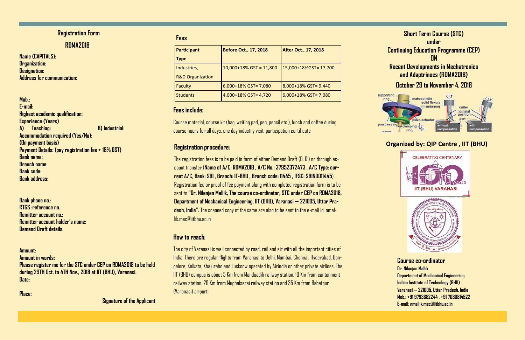**Name (CAPITALS): Organization: Designation: Address for communication:** 

**Mob.: E-mail: Highest academic qualification: Experience (Years) A) Teaching: B) Industrial: Accommodation required (Yes/No): (On payment basis) Payment Details: (pay registration fee + 18% GST) Bank name: Branch name: Bank code: Bank address:** 



**Bank phone no.: RTGS :reference no. Remitter account no.: Remitter account holder's name: Demand Draft details:** 

**Amount: Amount in words: Please register me for the STC under CEP on RDMA2018 to be held during 29TH Oct. to 4TH Nov., 2018 at IIT (BHU), Varanasi. Date:** 

**Place:** 

 **Signature of the Applicant** 

### **Registration Form**

### **Course co-ordinator**

**Dr. Nilanjan Mallik Department of Mechanical Engineering Indian Institute of Technology (BHU) Varanasi — 221005, Uttar Pradesh, India Mob.: +91 9793682244 , +91 7080814522 E-mail: nmallik.mec@iitbhu.ac.in** 

**Organized by: QIP Centre , IIT (BHU)**



#### **RDMA2018**

#### **Fees**

| <b>Participant</b>          | <b>Before Oct., 17, 2018</b> | <b>After Oct., 17, 2018</b> |
|-----------------------------|------------------------------|-----------------------------|
| <b>Type</b>                 |                              |                             |
| Industries,                 | $10,000+18\%$ GST = 11,800   | 15,000+18%GST= 17,700       |
| <b>R&amp;D Organization</b> |                              |                             |
| Faculty                     | 6,000+18% GST= 7,080         | 8,000+18% GST= 9,440        |
| <b>Students</b>             | 4,000+18% GST= 4,720         | 6,000+18% GST= 7,080        |

### **Fees include:**

Course material, course kit (bag, writing pad, pen, pencil etc.), lunch and coffee during course hours for all days, one day industry visit, participation certificate

### **Registration procedure:**

The registration fees is to be paid in form of either Demand Draft (D. D.) or through account transfer (**Name of A/C: RDMA2018 , A/C No.: 37952372473 , A/C Type: current A/C, Bank: SBI , Branch: IT-BHU , Branch code: 11445 , IFSC: SBIN0011445**). Registration fee or proof of fee payment along with completed registration form is to be sent to **"Dr. Nilanjan Mallik, The course co-ordinator, STC under CEP on RDMA2018, Department of Mechanical Engineering, IIT (BHU), Varanasi — 221005, Uttar Pradesh, India".** The scanned copy of the same are also to be sent to the e-mail id: nmallik.mec@iitbhu.ac.in

### **How to reach:**

The city of Varanasi is well connected by road, rail and air with all the important cities of India. There are regular flights from Varanasi to Delhi, Mumbai, Chennai, Hyderabad, Bangalore, Kolkata, Khajuraho and Lucknow operated by Airindia or other private airlines. The IIT (BHU) campus is about 5 Km from Manduadih railway station, 10 Km from cantonment railway station, 20 Km from Mughalsarai railway station and 35 Km from Babatpur (Varanasi) airport.